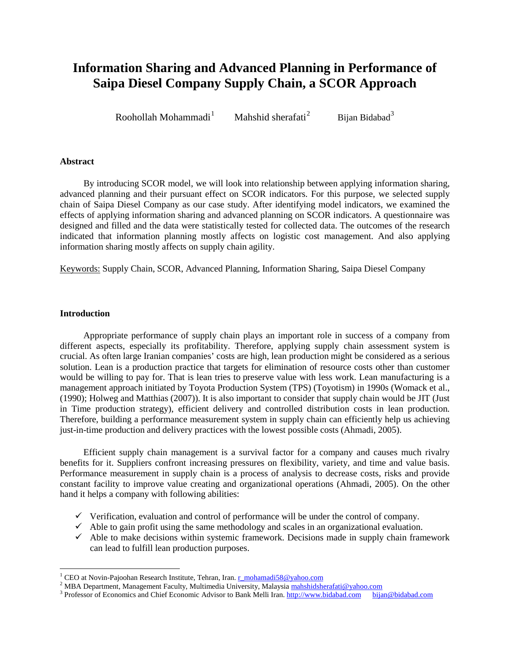# **Information Sharing and Advanced Planning in Performance of Saipa Diesel Company Supply Chain, a SCOR Approach**

Roohollah Mohammadi $<sup>1</sup>$  $<sup>1</sup>$  $<sup>1</sup>$ </sup> Mahshid sherafati $^2$  $^2$ Bijan Bidabad<sup>[3](#page-0-2)</sup>

### **Abstract**

By introducing SCOR model, we will look into relationship between applying information sharing, advanced planning and their pursuant effect on SCOR indicators. For this purpose, we selected supply chain of Saipa Diesel Company as our case study. After identifying model indicators, we examined the effects of applying information sharing and advanced planning on SCOR indicators. A questionnaire was designed and filled and the data were statistically tested for collected data. The outcomes of the research indicated that information planning mostly affects on logistic cost management. And also applying information sharing mostly affects on supply chain agility.

Keywords: Supply Chain, SCOR, Advanced Planning, Information Sharing, Saipa Diesel Company

#### **Introduction**

 $\overline{\phantom{a}}$ 

Appropriate performance of supply chain plays an important role in success of a company from different aspects, especially its profitability. Therefore, applying supply chain assessment system is crucial. As often large Iranian companies' costs are high, lean production might be considered as a serious solution. Lean is a production practice that targets for elimination of resource costs other than customer would be willing to pay for. That is lean tries to preserve value with less work. Lean manufacturing is a management approach initiated by [Toyota Production System](http://en.wikipedia.org/wiki/Toyota_Production_System) (TPS) (Toyotism) in 1990s (Womack et al., (1990); Holweg and Matthias (2007)). It is also important to consider that supply chain would be JIT (Just in Time production strategy), efficient delivery and controlled distribution costs in lean production. Therefore, building a performance measurement system in supply chain can efficiently help us achieving just-in-time production and delivery practices with the lowest possible costs (Ahmadi, 2005).

Efficient supply chain management is a survival factor for a company and causes much rivalry benefits for it. Suppliers confront increasing pressures on flexibility, variety, and time and value basis. Performance measurement in supply chain is a process of analysis to decrease costs, risks and provide constant facility to improve value creating and organizational operations (Ahmadi, 2005). On the other hand it helps a company with following abilities:

- $\checkmark$  Verification, evaluation and control of performance will be under the control of company.
- $\checkmark$  Able to gain profit using the same methodology and scales in an organizational evaluation.
- $\checkmark$  Able to make decisions within systemic framework. Decisions made in supply chain framework can lead to fulfill lean production purposes.

<span id="page-0-1"></span><span id="page-0-0"></span><sup>&</sup>lt;sup>1</sup> CEO at Novin-Pajoohan Research Institute, Tehran, Iran. <u>[r\\_mohamadi58@yahoo.com](mailto:r_mohamadi58@yahoo.com)</u><br><sup>2</sup> MBA Department, Management Faculty, Multimedia University, Malaysia [mahshidsherafati@yahoo.com](mailto:mahshidsherafati@yahoo.com)<br><sup>3</sup> Professor of Economics and Chief E

<span id="page-0-2"></span>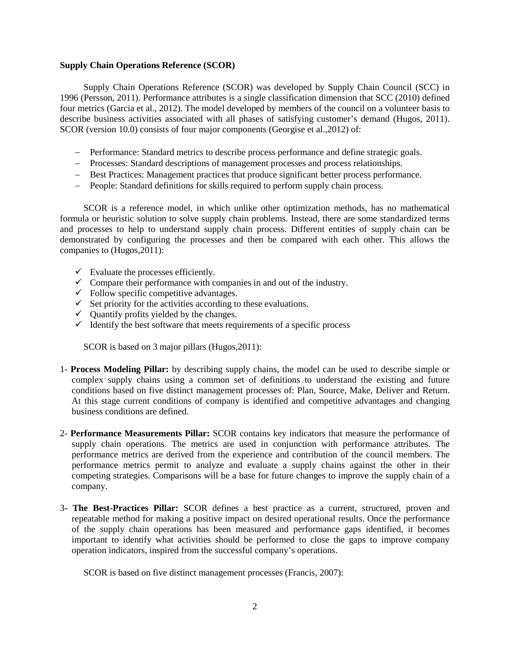#### **Supply Chain Operations Reference (SCOR)**

Supply Chain Operations Reference (SCOR) was developed by Supply Chain Council (SCC) in 1996 (Persson, 2011). Performance attributes is a single classification dimension that SCC (2010) defined four metrics (Garcia et al., 2012). The model developed by members of the council on a volunteer basis to describe business activities associated with all phases of satisfying customer's demand (Hugos, 2011). SCOR (version 10.0) consists of four major components (Georgise et al.,2012) of:

- − Performance: Standard metrics to describe process performance and define strategic goals.
- − Processes: Standard descriptions of management processes and process relationships.
- − Best Practices: Management practices that produce significant better process performance.
- − People: Standard definitions for skills required to perform supply chain process.

SCOR is a reference model, in which unlike other optimization methods, has no mathematical formula or heuristic solution to solve supply chain problems. Instead, there are some standardized terms and processes to help to understand supply chain process. Different entities of supply chain can be demonstrated by configuring the processes and then be compared with each other. This allows the companies to (Hugos,2011):

- $\checkmark$  Evaluate the processes efficiently.
- $\checkmark$  Compare their performance with companies in and out of the industry.
- $\checkmark$  Follow specific competitive advantages.
- $\checkmark$  Set priority for the activities according to these evaluations.
- $\checkmark$  Quantify profits yielded by the changes.
- $\checkmark$  Identify the best software that meets requirements of a specific process

SCOR is based on 3 major pillars (Hugos,2011):

- 1- **Process Modeling Pillar:** by describing supply chains, the model can be used to describe simple or complex supply chains using a common set of definitions to understand the existing and future conditions based on five distinct management processes of: Plan, Source, Make, Deliver and Return. At this stage current conditions of company is identified and competitive advantages and changing business conditions are defined.
- 2- **Performance Measurements Pillar:** SCOR contains key indicators that measure the performance of supply chain operations. The metrics are used in conjunction with performance attributes. The performance metrics are derived from the experience and contribution of the council members. The performance metrics permit to analyze and evaluate a supply chains against the other in their competing strategies. Comparisons will be a base for future changes to improve the supply chain of a company.
- 3- **The Best-Practices Pillar:** SCOR defines a best practice as a current, structured, proven and repeatable method for making a positive impact on desired operational results. Once the performance of the supply chain operations has been measured and performance gaps identified, it becomes important to identify what activities should be performed to close the gaps to improve company operation indicators, inspired from the successful company's operations.

SCOR is based on five distinct management processes (Francis, 2007):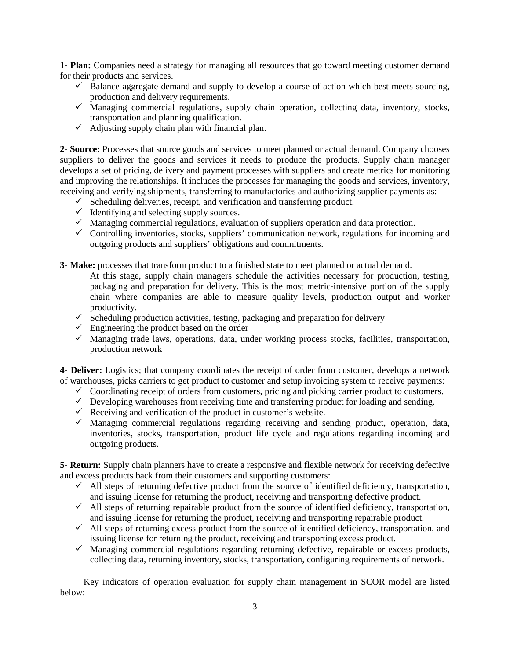**1- Plan:** Companies need a strategy for managing all resources that go toward meeting customer demand for their products and services.

- $\checkmark$  Balance aggregate demand and supply to develop a course of action which best meets sourcing, production and delivery requirements.
- $\checkmark$  Managing commercial regulations, supply chain operation, collecting data, inventory, stocks, transportation and planning qualification.
- $\checkmark$  Adjusting supply chain plan with financial plan.

**2- Source:** Processes that source goods and services to meet planned or actual demand. Company chooses suppliers to deliver the goods and services it needs to produce the products. Supply chain manager develops a set of pricing, delivery and payment processes with suppliers and create metrics for monitoring and improving the relationships. It includes the processes for managing the goods and services, inventory, receiving and verifying shipments, transferring to manufactories and authorizing supplier payments as:

- $\checkmark$  Scheduling deliveries, receipt, and verification and transferring product.
- $\checkmark$  Identifying and selecting supply sources.
- $\checkmark$  Managing commercial regulations, evaluation of suppliers operation and data protection.
- $\checkmark$  Controlling inventories, stocks, suppliers' communication network, regulations for incoming and outgoing products and suppliers' obligations and commitments.
- **3- Make:** processes that transform product to a finished state to meet planned or actual demand.
	- At this stage, supply chain managers schedule the activities necessary for production, testing, packaging and preparation for delivery. This is the most metric-intensive portion of the supply chain where companies are able to measure quality levels, production output and worker productivity.
	- $\checkmark$  Scheduling production activities, testing, packaging and preparation for delivery
	- $\checkmark$  Engineering the product based on the order
	- $\checkmark$  Managing trade laws, operations, data, under working process stocks, facilities, transportation, production network

**4- Deliver:** Logistics; that company coordinates the receipt of order from customer, develops a network of warehouses, picks carriers to get product to customer and setup invoicing system to receive payments:

- $\checkmark$  Coordinating receipt of orders from customers, pricing and picking carrier product to customers.
- $\checkmark$  Developing warehouses from receiving time and transferring product for loading and sending.
- $\checkmark$  Receiving and verification of the product in customer's website.
- $\checkmark$  Managing commercial regulations regarding receiving and sending product, operation, data, inventories, stocks, transportation, product life cycle and regulations regarding incoming and outgoing products.

**5- Return:** Supply chain planners have to create a responsive and flexible network for receiving defective and excess products back from their customers and supporting customers:

- $\checkmark$  All steps of returning defective product from the source of identified deficiency, transportation, and issuing license for returning the product, receiving and transporting defective product.
- $\checkmark$  All steps of returning repairable product from the source of identified deficiency, transportation, and issuing license for returning the product, receiving and transporting repairable product.
- $\checkmark$  All steps of returning excess product from the source of identified deficiency, transportation, and issuing license for returning the product, receiving and transporting excess product.
- $\checkmark$  Managing commercial regulations regarding returning defective, repairable or excess products, collecting data, returning inventory, stocks, transportation, configuring requirements of network.

Key indicators of operation evaluation for supply chain management in SCOR model are listed below: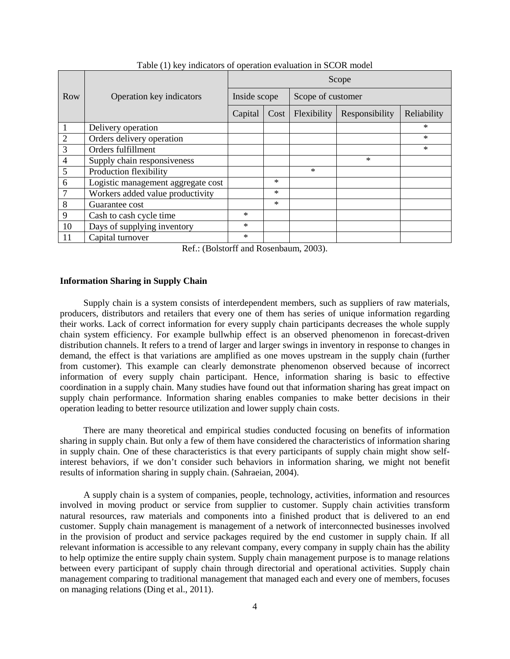|                | Operation key indicators           | Scope        |        |                   |                |             |  |
|----------------|------------------------------------|--------------|--------|-------------------|----------------|-------------|--|
| Row            |                                    | Inside scope |        | Scope of customer |                |             |  |
|                |                                    | Capital      | Cost   | Flexibility       | Responsibility | Reliability |  |
|                | Delivery operation                 |              |        |                   |                | $\ast$      |  |
| $\overline{2}$ | Orders delivery operation          |              |        |                   |                | $\ast$      |  |
| 3              | Orders fulfillment                 |              |        |                   |                | $\ast$      |  |
| $\overline{4}$ | Supply chain responsiveness        |              |        |                   | $\ast$         |             |  |
| 5              | Production flexibility             |              |        | $\ast$            |                |             |  |
| 6              | Logistic management aggregate cost |              | $\ast$ |                   |                |             |  |
| $\overline{7}$ | Workers added value productivity   |              | $\ast$ |                   |                |             |  |
| 8              | Guarantee cost                     |              | $\ast$ |                   |                |             |  |
| 9              | Cash to cash cycle time            | $\ast$       |        |                   |                |             |  |
| 10             | Days of supplying inventory        | $\ast$       |        |                   |                |             |  |
| 11             | Capital turnover                   | $\ast$       |        |                   |                |             |  |

Table (1) key indicators of operation evaluation in SCOR model

Ref.: (Bolstorff and Rosenbaum, 2003).

#### **Information Sharing in Supply Chain**

Supply chain is a system consists of interdependent members, such as suppliers of raw materials, producers, distributors and retailers that every one of them has series of unique information regarding their works. Lack of correct information for every supply chain participants decreases the whole supply chain system efficiency. For example bullwhip effect is an observed phenomenon in forecast-driven distribution channels. It refers to a trend of larger and larger swings in inventory in response to changes in demand, the effect is that variations are amplified as one moves upstream in the supply chain (further from customer). This example can clearly demonstrate phenomenon observed because of incorrect information of every supply chain participant. Hence, information sharing is basic to effective coordination in a supply chain. Many studies have found out that information sharing has great impact on supply chain performance. Information sharing enables companies to make better decisions in their operation leading to better resource utilization and lower supply chain costs.

There are many theoretical and empirical studies conducted focusing on benefits of information sharing in supply chain. But only a few of them have considered the characteristics of information sharing in supply chain. One of these characteristics is that every participants of supply chain might show selfinterest behaviors, if we don't consider such behaviors in information sharing, we might not benefit results of information sharing in supply chain. (Sahraeian, 2004).

A supply chain is a system of companies, people, technology, activities, information and resources involved in moving product or service from supplier to customer. Supply chain activities transform natural resources, raw materials and components into a finished product that is delivered to an end customer. Supply chain management is management of a network of interconnected businesses involved in the provision of product and service packages required by the end customer in supply chain. If all relevant information is accessible to any relevant company, every company in supply chain has the ability to help optimize the entire supply chain system. Supply chain management purpose is to manage relations between every participant of supply chain through directorial and operational activities. Supply chain management comparing to traditional management that managed each and every one of members, focuses on managing relations (Ding et al., 2011).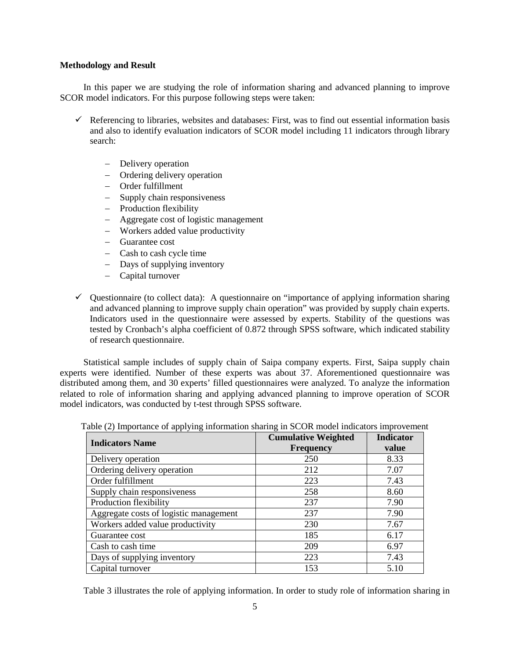#### **Methodology and Result**

In this paper we are studying the role of information sharing and advanced planning to improve SCOR model indicators. For this purpose following steps were taken:

- $\checkmark$  Referencing to libraries, websites and databases: First, was to find out essential information basis and also to identify evaluation indicators of SCOR model including 11 indicators through library search:
	- − Delivery operation
	- − Ordering delivery operation
	- − Order fulfillment
	- − Supply chain responsiveness
	- − Production flexibility
	- − Aggregate cost of logistic management
	- − Workers added value productivity
	- − Guarantee cost
	- − Cash to cash cycle time
	- − Days of supplying inventory
	- − Capital turnover
- $\checkmark$  Questionnaire (to collect data): A questionnaire on "importance of applying information sharing and advanced planning to improve supply chain operation" was provided by supply chain experts. Indicators used in the questionnaire were assessed by experts. Stability of the questions was tested by Cronbach's alpha coefficient of 0.872 through SPSS software, which indicated stability of research questionnaire.

Statistical sample includes of supply chain of Saipa company experts. First, Saipa supply chain experts were identified. Number of these experts was about 37. Aforementioned questionnaire was distributed among them, and 30 experts' filled questionnaires were analyzed. To analyze the information related to role of information sharing and applying advanced planning to improve operation of SCOR model indicators, was conducted by t-test through SPSS software.

| <b>Indicators Name</b>                 | <b>Cumulative Weighted</b><br><b>Frequency</b> | <b>Indicator</b><br>value |
|----------------------------------------|------------------------------------------------|---------------------------|
| Delivery operation                     | 250                                            | 8.33                      |
| Ordering delivery operation            | 212                                            | 7.07                      |
| Order fulfillment                      | 223                                            | 7.43                      |
| Supply chain responsiveness            | 258                                            | 8.60                      |
| Production flexibility                 | 237                                            | 7.90                      |
| Aggregate costs of logistic management | 237                                            | 7.90                      |
| Workers added value productivity       | 230                                            | 7.67                      |
| Guarantee cost                         | 185                                            | 6.17                      |
| Cash to cash time                      | 209                                            | 6.97                      |
| Days of supplying inventory            | 223                                            | 7.43                      |
| Capital turnover                       | 153                                            | 5.10                      |

Table (2) Importance of applying information sharing in SCOR model indicators improvement

Table 3 illustrates the role of applying information. In order to study role of information sharing in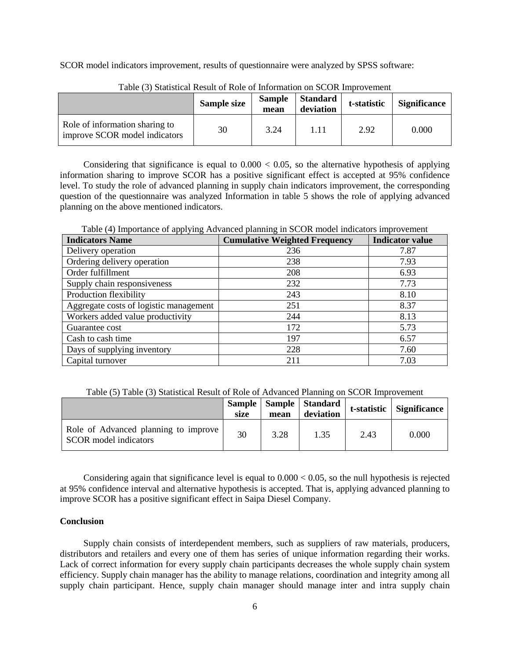SCOR model indicators improvement, results of questionnaire were analyzed by SPSS software:

|                                                                 | Sample size | <b>Sample</b><br>mean | <b>Standard</b><br>deviation | t-statistic | <b>Significance</b> |
|-----------------------------------------------------------------|-------------|-----------------------|------------------------------|-------------|---------------------|
| Role of information sharing to<br>improve SCOR model indicators | 30          | 3.24                  | 1.11                         | 2.92        | 0.000               |

Table (3) Statistical Result of Role of Information on SCOR Improvement

Considering that significance is equal to  $0.000 < 0.05$ , so the alternative hypothesis of applying information sharing to improve SCOR has a positive significant effect is accepted at 95% confidence level. To study the role of advanced planning in supply chain indicators improvement, the corresponding question of the questionnaire was analyzed Information in table 5 shows the role of applying advanced planning on the above mentioned indicators.

Table (4) Importance of applying Advanced planning in SCOR model indicators improvement

| <b>Indicators Name</b>                 | <b>Cumulative Weighted Frequency</b> | ruore (1) importance or apprying ruoranced planning in BOOR moder mureators improvement<br><b>Indicator value</b> |  |
|----------------------------------------|--------------------------------------|-------------------------------------------------------------------------------------------------------------------|--|
| Delivery operation                     | 236                                  | 7.87                                                                                                              |  |
| Ordering delivery operation            | 238                                  | 7.93                                                                                                              |  |
| Order fulfillment                      | 208                                  | 6.93                                                                                                              |  |
| Supply chain responsiveness            | 232                                  | 7.73                                                                                                              |  |
| Production flexibility                 | 243                                  | 8.10                                                                                                              |  |
| Aggregate costs of logistic management | 251                                  | 8.37                                                                                                              |  |
| Workers added value productivity       | 244                                  | 8.13                                                                                                              |  |
| Guarantee cost                         | 172                                  | 5.73                                                                                                              |  |
| Cash to cash time                      | 197                                  | 6.57                                                                                                              |  |
| Days of supplying inventory            | 228                                  | 7.60                                                                                                              |  |
| Capital turnover                       | 211                                  | 7.03                                                                                                              |  |

Table (5) Table (3) Statistical Result of Role of Advanced Planning on SCOR Improvement

|                                                                      | size | mean | Sample   Sample   Standard<br>deviation |      | t-statistic Significance |
|----------------------------------------------------------------------|------|------|-----------------------------------------|------|--------------------------|
| Role of Advanced planning to improve<br><b>SCOR</b> model indicators | 30   | 3.28 | 1.35                                    | 2.43 | 0.000                    |

Considering again that significance level is equal to  $0.000 < 0.05$ , so the null hypothesis is rejected at 95% confidence interval and alternative hypothesis is accepted. That is, applying advanced planning to improve SCOR has a positive significant effect in Saipa Diesel Company.

## **Conclusion**

Supply chain consists of interdependent members, such as suppliers of raw materials, producers, distributors and retailers and every one of them has series of unique information regarding their works. Lack of correct information for every supply chain participants decreases the whole supply chain system efficiency. Supply chain manager has the ability to manage relations, coordination and integrity among all supply chain participant. Hence, supply chain manager should manage inter and intra supply chain